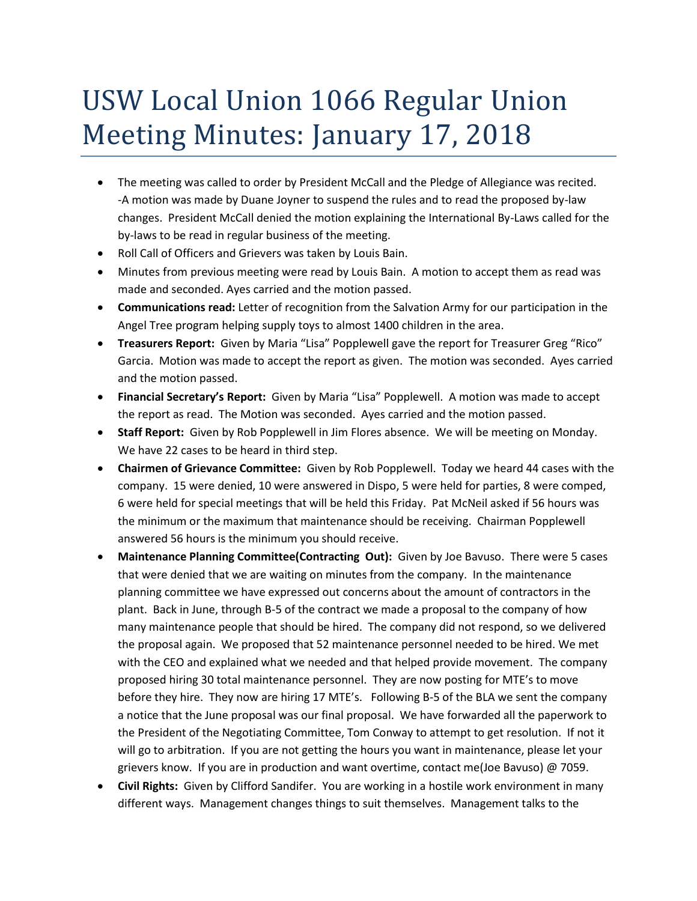## USW Local Union 1066 Regular Union Meeting Minutes: January 17, 2018

- The meeting was called to order by President McCall and the Pledge of Allegiance was recited. -A motion was made by Duane Joyner to suspend the rules and to read the proposed by-law changes. President McCall denied the motion explaining the International By-Laws called for the by-laws to be read in regular business of the meeting.
- Roll Call of Officers and Grievers was taken by Louis Bain.
- Minutes from previous meeting were read by Louis Bain. A motion to accept them as read was made and seconded. Ayes carried and the motion passed.
- **Communications read:** Letter of recognition from the Salvation Army for our participation in the Angel Tree program helping supply toys to almost 1400 children in the area.
- **Treasurers Report:** Given by Maria "Lisa" Popplewell gave the report for Treasurer Greg "Rico" Garcia. Motion was made to accept the report as given. The motion was seconded. Ayes carried and the motion passed.
- **Financial Secretary's Report:** Given by Maria "Lisa" Popplewell. A motion was made to accept the report as read. The Motion was seconded. Ayes carried and the motion passed.
- **Staff Report:** Given by Rob Popplewell in Jim Flores absence. We will be meeting on Monday. We have 22 cases to be heard in third step.
- **Chairmen of Grievance Committee:** Given by Rob Popplewell. Today we heard 44 cases with the company. 15 were denied, 10 were answered in Dispo, 5 were held for parties, 8 were comped, 6 were held for special meetings that will be held this Friday. Pat McNeil asked if 56 hours was the minimum or the maximum that maintenance should be receiving. Chairman Popplewell answered 56 hours is the minimum you should receive.
- **Maintenance Planning Committee(Contracting Out):** Given by Joe Bavuso. There were 5 cases that were denied that we are waiting on minutes from the company. In the maintenance planning committee we have expressed out concerns about the amount of contractors in the plant. Back in June, through B-5 of the contract we made a proposal to the company of how many maintenance people that should be hired. The company did not respond, so we delivered the proposal again. We proposed that 52 maintenance personnel needed to be hired. We met with the CEO and explained what we needed and that helped provide movement. The company proposed hiring 30 total maintenance personnel. They are now posting for MTE's to move before they hire. They now are hiring 17 MTE's. Following B-5 of the BLA we sent the company a notice that the June proposal was our final proposal. We have forwarded all the paperwork to the President of the Negotiating Committee, Tom Conway to attempt to get resolution. If not it will go to arbitration. If you are not getting the hours you want in maintenance, please let your grievers know. If you are in production and want overtime, contact me(Joe Bavuso) @ 7059.
- **Civil Rights:** Given by Clifford Sandifer. You are working in a hostile work environment in many different ways. Management changes things to suit themselves. Management talks to the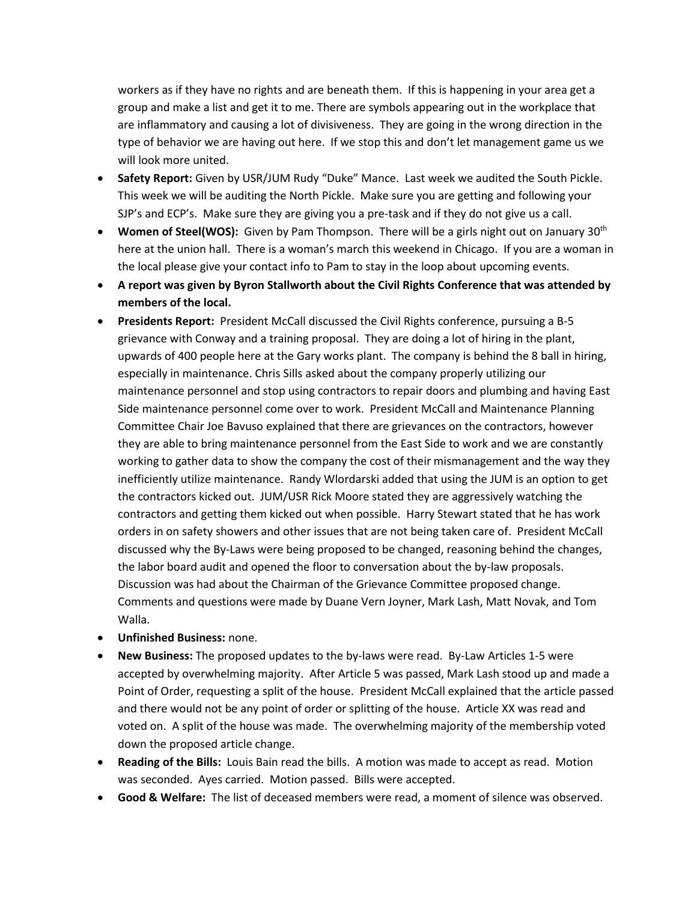workers as if they have no rights and are beneath them. If this is happening in your area get a group and make a list and get it to me. There are symbols appearing out in the workplace that are inflammatory and causing a lot of divisiveness. They are going in the wrong direction in the type of behavior we are having out here. If we stop this and don't let management game us we will look more united.

- **Safety Report:** Given by USR/JUM Rudy "Duke" Mance. Last week we audited the South Pickle. This week we will be auditing the North Pickle. Make sure you are getting and following your SJP's and ECP's. Make sure they are giving you a pre-task and if they do not give us a call.
- **Women of Steel(WOS):** Given by Pam Thompson. There will be a girls night out on January 30th here at the union hall. There is a woman's march this weekend in Chicago. If you are a woman in the local please give your contact info to Pam to stay in the loop about upcoming events.
- **A report was given by Byron Stallworth about the Civil Rights Conference that was attended by members of the local.**
- **Presidents Report:** President McCall discussed the Civil Rights conference, pursuing a B-5 grievance with Conway and a training proposal. They are doing a lot of hiring in the plant, upwards of 400 people here at the Gary works plant. The company is behind the 8 ball in hiring, especially in maintenance. Chris Sills asked about the company properly utilizing our maintenance personnel and stop using contractors to repair doors and plumbing and having East Side maintenance personnel come over to work. President McCall and Maintenance Planning Committee Chair Joe Bavuso explained that there are grievances on the contractors, however they are able to bring maintenance personnel from the East Side to work and we are constantly working to gather data to show the company the cost of their mismanagement and the way they inefficiently utilize maintenance. Randy Wlordarski added that using the JUM is an option to get the contractors kicked out. JUM/USR Rick Moore stated they are aggressively watching the contractors and getting them kicked out when possible. Harry Stewart stated that he has work orders in on safety showers and other issues that are not being taken care of. President McCall discussed why the By-Laws were being proposed to be changed, reasoning behind the changes, the labor board audit and opened the floor to conversation about the by-law proposals. Discussion was had about the Chairman of the Grievance Committee proposed change. Comments and questions were made by Duane Vern Joyner, Mark Lash, Matt Novak, and Tom Walla.
- **Unfinished Business:** none.
- **New Business:** The proposed updates to the by-laws were read. By-Law Articles 1-5 were accepted by overwhelming majority. After Article 5 was passed, Mark Lash stood up and made a Point of Order, requesting a split of the house. President McCall explained that the article passed and there would not be any point of order or splitting of the house. Article XX was read and voted on. A split of the house was made. The overwhelming majority of the membership voted down the proposed article change.
- **Reading of the Bills:** Louis Bain read the bills. A motion was made to accept as read. Motion was seconded. Ayes carried. Motion passed. Bills were accepted.
- **Good & Welfare:** The list of deceased members were read, a moment of silence was observed.